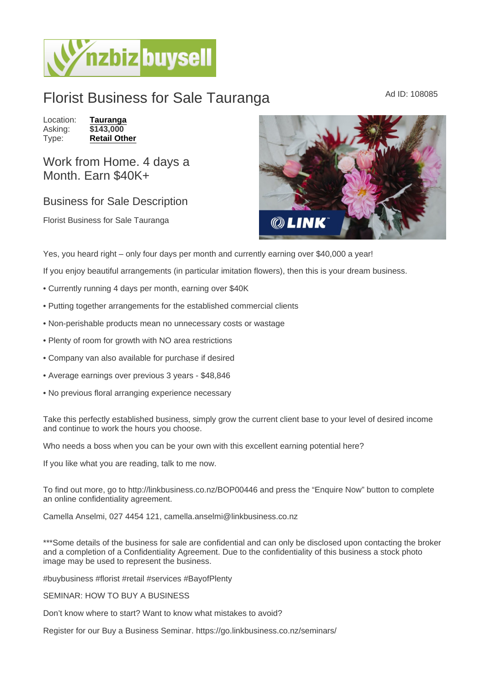## Florist Business for Sale Tauranga Mad ID: 108085

Location: [Tauranga](https://www.nzbizbuysell.co.nz/businesses-for-sale/location/Tauranga)<br>Asking: \$143,000 Asking:<br>Type: [Retail Other](https://www.nzbizbuysell.co.nz/businesses-for-sale/Retail-Other/New-Zealand)

Work from Home. 4 days a Month. Earn \$40K+

## Business for Sale Description

Florist Business for Sale Tauranga

Yes, you heard right – only four days per month and currently earning over \$40,000 a year!

If you enjoy beautiful arrangements (in particular imitation flowers), then this is your dream business.

- Currently running 4 days per month, earning over \$40K
- Putting together arrangements for the established commercial clients
- Non-perishable products mean no unnecessary costs or wastage
- Plenty of room for growth with NO area restrictions
- Company van also available for purchase if desired
- Average earnings over previous 3 years \$48,846
- No previous floral arranging experience necessary

Take this perfectly established business, simply grow the current client base to your level of desired income and continue to work the hours you choose.

Who needs a boss when you can be your own with this excellent earning potential here?

If you like what you are reading, talk to me now.

To find out more, go to http://linkbusiness.co.nz/BOP00446 and press the "Enquire Now" button to complete an online confidentiality agreement.

Camella Anselmi, 027 4454 121, camella.anselmi@linkbusiness.co.nz

\*\*\*Some details of the business for sale are confidential and can only be disclosed upon contacting the broker and a completion of a Confidentiality Agreement. Due to the confidentiality of this business a stock photo image may be used to represent the business.

#buybusiness #florist #retail #services #BayofPlenty

SEMINAR: HOW TO BUY A BUSINESS

Don't know where to start? Want to know what mistakes to avoid?

Register for our Buy a Business Seminar. https://go.linkbusiness.co.nz/seminars/